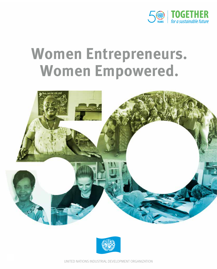

# **Women Entrepreneurs. Women Empowered.**





UNITED NATIONS INDUSTRIAL DEVELOPMENT ORGANIZATION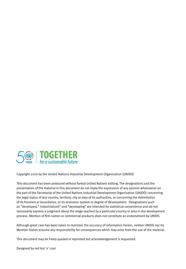

Copyright 2016 by the United Nations Industrial Development Organization (UNIDO)

This document has been produced without formal United Nations editing. The designations and the presentation of the material in this document do not imply the expression of any opinion whatsoever on the analysis and the chain and the chain and the presentation of the material in this document do not imply the express the part of the Secretariat of the United Nations Industrial Development Organization (UNIDO) concerning the legal status of any country, territory, city or area of its authorities, or concerning the delimitation of its frontiers or boundaries, or its economic system or degree of development. Designations such as "developed," industrialized" and "developing" are intended for statistical convenience and do not necessarily express a judgment about the stage reached by a particular country or area in the development process. Mention of firm names or commercial products does not constitute an endorsement by UNIDO. cluster mapping of the legal stature

> Although great care has been taken to maintain the accuracy of information herein, neither UNIDO nor its Member States assume any responsibility for consequences which may arise from the use of the material.

This document may be freely quoted or reprinted but acknowledgement is requested.

Designed by red hot 'n' cool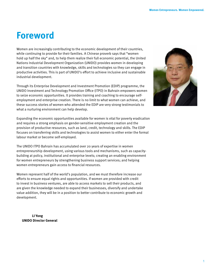## **Foreword**

Women are increasingly contributing to the economic development of their countries, while continuing to provide for their families. A Chinese proverb says that "women hold up half the sky" and, to help them realize their full economic potential, the United Nations Industrial Development Organization (UNIDO) provides women in developing and transition countries with knowledge, skills and technologies so they can engage in productive activities. This is part of UNIDO's effort to achieve inclusive and sustainable industrial development.

Through its Enterprise Development and Investment Promotion (EDIP) programme, the UNIDO Investment and Technology Promotion Office (ITPO) in Bahrain empowers women to seize economic opportunities. It provides training and coaching to encourage selfemployment and enterprise creation. There is no limit to what women can achieve, and these success stories of women who attended the EDIP are very strong testimonials to what a nurturing environment can help develop.

Expanding the economic opportunities available for women is vital for poverty eradication and requires a strong emphasis on gender-sensitive employment creation and the provision of productive resources, such as land, credit, technology and skills. The EDIP focuses on transferring skills and technologies to assist women to either enter the formal labour market or become self-employed.

The UNIDO ITPO Bahrain has accumulated over 20 years of expertise in women entrepreneurship development, using various tools and mechanisms, such as capacitybuilding at policy, institutional and enterprise levels; creating an enabling environment for women entrepreneurs by strengthening business support services; and helping women entrepreneurs gain access to financial resources.

Women represent half of the world's population, and we must therefore increase our efforts to ensure equal rights and opportunities. If women are provided with credit to invest in business ventures, are able to access markets to sell their products, and are given the knowledge needed to expand their businesses, diversify and undertake value addition, they will be in a position to better contribute to economic growth and development.

 **LI Yong UNIDO Director General**

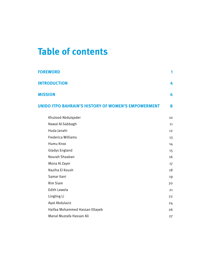## **Table of contents**

| <b>FOREWORD</b>                                            | 1  |
|------------------------------------------------------------|----|
| <b>INTRODUCTION</b>                                        | 4  |
| <b>MISSION</b>                                             | 6  |
| <b>UNIDO ITPO BAHRAIN'S HISTORY OF WOMEN'S EMPOWERMENT</b> | 8  |
| Khulood Abdulqader                                         | 10 |
| Nawal Al-Sabbagh                                           | 11 |
| Huda Janahi                                                | 12 |
| Frederica Williams                                         | 13 |
| Humu Knox                                                  | 14 |
| <b>Gladys England</b>                                      | 15 |
| Nourah Shaaban                                             | 16 |
| Mona Al Zayer                                              | 17 |
| Naziha El Koush                                            | 18 |
| Samar Itani                                                | 19 |
| <b>Rim Siam</b>                                            | 20 |
| Edith Lewela                                               | 21 |
| Lingling Li                                                | 22 |
| Ayat Abdulaziz                                             | 24 |
| Haifaa Mohammed Hassan Eltayeb                             | 26 |
| Manal Mustafa Hassan Ali                                   | 27 |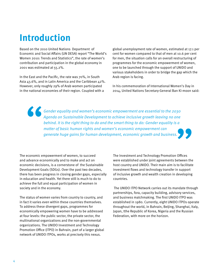### **Introduction**

Based on the 2010 United Nations Department of Economic and Social Affairs (UN DESA) report "The World's Women 2010: Trends and Statistics", the rate of women's contribution and participation in the global economy in 2001 was estimated at 55.2%.

In the East and the Pacific, the rate was 70%, in South Asia 43.6%, and in Latin America and the Caribbean 42%. However, only roughly 29% of Arab women participated in the national economies of their region. Coupled with a

global unemployment rate of women, estimated at 17.1 per cent for women compared to that of men at 10.6 per cent for men, the situation calls for an overall restructuring of programmes for the economic empowerment of women, one to be launched through the support of UNIDO and various stakeholders in order to bridge the gap which the Arab region is facing.

In his commemoration of International Women's Day in 2014, United Nations Secretary-General Ban Ki-moon said:

*Gender equality and women's economic empowerment are essential to the 2030 Agenda on Sustainable Development to achieve inclusive growth leaving no one behind. It is the right thing to do and the smart thing to do: Gender equality is a matter of basic human rights and women's economic empowerment can*  " *generate huge gains for human development, economic growth and business.*"

The economic empowerment of women, to succeed and advance economically and to make and act on economic decisions, is a cornerstone of the Sustainable Development Goals (SDGs). Over the past two decades, there has been progress in closing gender gaps, especially in education and health. Yet there still is much to do to achieve the full and equal participation of women in society and in the economy.

The status of women varies from country to country, and in fact it varies even within these countries themselves. To address these divergent gaps, programmes for economically empowering women have to be addressed at four levels: the public sector, the private sector, the multinational organizations and the non-governmental organizations. The UNIDO Investment and Technology Promotion Office (ITPO) in Bahrain, part of a larger global network of UNIDO ITPOs, works at precisely this nexus.

The Investment and Technology Promotion Offices were established under joint agreements between the host country and UNIDO. Their main aim is to facilitate investment flows and technology transfer in support of inclusive growth and wealth creation in developing countries.

 The UNIDO ITPO Network carries out its mandate through partnerships, fora, capacity building, advisory services, and business matchmaking. The first UNIDO ITPO was established in 1980. Currently, eight UNIDO ITPOs operate throughout the world, in Bahrain, Beijing, Shanghai, Italy, Japan, tthe Republic of Korea, Nigeria and the Russian Federation, with more on the horizon.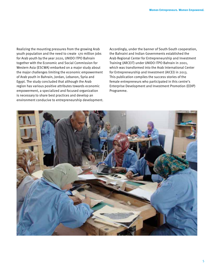Realizing the mounting pressures from the growing Arab youth population and the need to create 170 million jobs for Arab youth by the year 2020, UNIDO ITPO Bahrain together with the Economic and Social Commission for Western Asia (ESCWA) embarked on a major study about the major challenges limiting the economic empowerment of Arab youth in Bahrain, Jordan, Lebanon, Syria and Egypt. The study concluded that although the Arab region has various positive attributes towards economic empowerment, a specialized and focused organization is necessary to share best practices and develop an environment conducive to entrepreneurship development. Accordingly, under the banner of South-South cooperation, the Bahraini and Indian Governments established the Arab Regional Center for Entrepreneurship and Investment Training (ARCEIT) under UNIDO ITPO Bahrain in 2001, which was transformed into the Arab International Center for Entrepreneurship and Investment (AICEI) in 2013. This publication compiles the success stories of the female entrepreneurs who participated in this centre's Enterprise Development and Investment Promotion (EDIP) Programme.

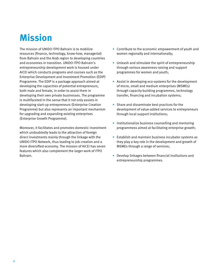### **Mission**

The mission of UNIDO ITPO Bahrain is to mobilize resources (finance, technology, know-how, managerial) from Bahrain and the Arab region to developing countries and economies in transition. UNIDO ITPO Bahrain's entrepreneurship development work is housed under AICEI which conducts programs and courses such as the Enterprise Development and Investment Promotion (EDIP) Programme. The EDIP is a package approach aimed at developing the capacities of potential entrepreneurs, both male and female, in order to assist them in developing their own private businesses. The programme is multifaceted in the sense that it not only assists in developing start-up entrepreneurs (Enterprise Creation Programme) but also represents an important mechanism for upgrading and expanding existing enterprises (Enterprise Growth Programme).

Moreover, it facilitates and promotes domestic investment which undoubtedly leads to the attraction of foreign direct investments mainly through the linkage with the UNIDO ITPO Network, thus leading to job creation and a more diversified economy. The mission of AICEI has seven features which also complement the larger work of ITPO Bahrain.

- Contribute to the economic empowerment of youth and women regionally and internationally;
- Unleash and stimulate the spirit of entrepreneurship through various awareness-raising and support programmes for women and youth;
- Assist in developing eco-systems for the development of micro, small and medium enterprises (MSMEs) through capacity-building programmes, technology transfer, financing and incubation systems;
- Share and disseminate best practices for the development of value-added services to entrepreneurs through local support institutions;
- Institutionalize business counselling and mentoring programmess aimed at facilitating enterprise growth;
- Establish and maintain business incubator systems as they play a key role in the development and growth of MSMEs through a range of services;
- Develop linkages between financial institutions and entrepreneurship programmes.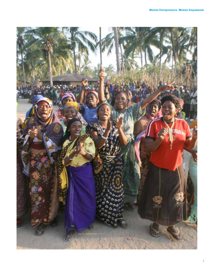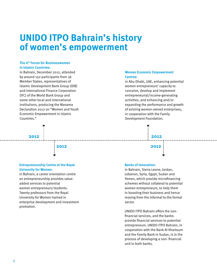#### **UNIDO ITPO Bahrain's history of women's empowerment**

#### **The 6th Forum for Businesswomen in Islamic Countries:**

in Bahrain, December 2012, attended by around 150 participants from 36 Member States, representatives of Islamic Development Bank Group (IDB) and International Finance Corporation (IFC) of the World Bank Group and some other local and international institutions, producing the Manama Declaration 2012 on "Women and Youth Economic Empowerment in Islamic Countries."

#### **2012**



#### **Entrepreneurship Centre at the Royal University for Women:**

in Bahrain, a career orientation centre on entrepreneurship provides valueadded services to potential women entrepreneurs/students. Twenty professors from the Royal University for Women trained in enterprise development and investment promotion.

#### **Women Economic Empowerment Centres:**

in Abu Dhabi, UAE, enhancing potential women entrepreneurs' capacity to conceive, develop and implement entrepreneurial/income-generating activities, and enhancing and/or expanding the performance and growth of existing women-owned enterprises; in cooperation with the Family Development Foundation.

> **2012 2012**

#### **Banks of Innovation:**

in Bahrain, Sierra Leone, Jordan, Lebanon, Syria, Egypt, Sudan and Yemen, which provide microfinancing schemes without collateral to potential women entrepreneurs, to help them in boosting their business and hence moving from the informal to the formal sector.

UNIDO ITPO Bahrain offers the nonfinancial services, and the banks provide financial services to potential entrepreneurs. UNIDO ITPO Bahrain, in cooperation with the Bank Al Khartoum and the Family Bank in Sudan, is in the process of developing a non- financial unit in both banks.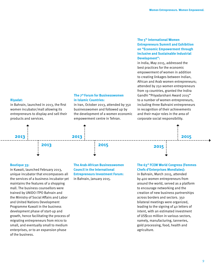#### **Entrepreneurs Summit and Exhibition on "Economic Empowerment through Inclusive and Sustainable Industrial Development":**

**The 5th International Women** 

in India, May 2015, addressed the best practices for the economic empowerment of women in addition to creating linkages between Indian, African and Arab women entrepreneurs; attended by 250 women entrepreneurs from 19 countries, granted the Indira Gandhi "Priyadarshani Award 2015" to a number of women entrepreneurs, including three Bahraini entrepreneurs in recognition of their achievements and their major roles in the area of corporate social responsibility.

#### **Riyadat:**

in Bahrain, launched in 2013, the first women incubator/mall allowing its entrepreneurs to display and sell their products and services.

**2013**

**2013**

**Boutique 33:**

in Kuwait, launched February 2013, unique incubator that encompasses all the services of a business incubator yet maintains the features of a shopping mall. The business counsellors were trained by UNIDO ITPO Bahrain and the Ministry of Social Affairs and Labor and United Nations Development Programme Kuwait in the business development phase of start-up and growth, hence facilitating the process of migrating entrepreneurs from micro to small, and eventually small to medium enterprises, or to an expansion phase of the business.

#### **The 7th Forum for Businesswomen in Islamic Countries:**

**The Arab-African Businesswomen Council in the International Entrepreneurs Investment Forum:**

in Bahrain, January 2015.

**2013**

in Iran, October 2013, attended by 350 businesswomen and followed up by the development of a women economic empowerment centre in Tehran.

**2015**

#### **The 63rd FCEM World Congress (Femmes Chefs d'Enterprises Mondiales):**

**2015**

**2015**

in Bahrain, March 2015, attended by 400 women entrepreneurs from around the world, served as a platform to encourage networking and the creation of new business partnerships across borders and sectors. 350 bilateral meetings were organized, leading to the signing of 40 letters of intent, with an estimated investment of US\$110 million in various sectors, namely, manufacturing, tanneries, gold processing, food, health and agriculture.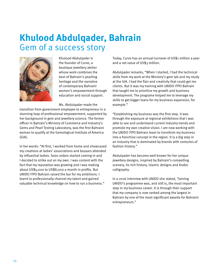### **Khulood Abdulqader, Bahrain** Gem of a success story



Khulood Abdulqader is the founder of Curve, a boutique jewellery atelier whose work combines the best of Bahrain's pearling heritage and the narrative of contemporary Bahraini women's empowerment through education and social support.

Ms. Abdulqader made the

transition from government employee to entrepreneur in a stunning leap of professional empowerment, supported by her background in gem and jewellery science. The former officer in Bahrain's Ministry of Commerce and Industry's Gems and Pearl Testing Laboratory, was the first Bahraini woman to qualify at the Gemological Institute of America (GIA).

In her words: "At first, I worked from home and showcased my creations at ladies' associations and bazaars attended by influential ladies. Soon orders started coming in and I decided to strike out on my own. I was content with the fact that my reputation was growing and I was making about US\$5,000 to US\$8,000 a month in profits. But UNIDO ITPO Bahrain raised the bar for my ambitions. I learnt to professionally channel my talent and gained valuable technical knowledge on how to run a business."

Today, Curve has an annual turnover of US\$1 million a year and a net value of US\$3 million.

Abdulqader remarks, "When I started, I had the technical skills from my work at the Ministry's gem lab and my study at the GIA. I had the flair and creativity that could get me clients. But it was my training with UNIDO ITPO Bahrain that taught me to prioritize my growth and business development. The programe helped me to leverage my skills to get bigger loans for my business expansion, for example."

"Establishing my business was the first step. It was through the exposure at regional exhibitions that I was able to see and understand current industry trends and promote my own creative vision. I am now working with the UNIDO ITPO Bahrain team to transform my business into a franchise concept in the region. It is a big step in an industry that is dominated by brands with centuries of fashion history."

Abdulqader has become well-known for her unique jewellery designs, inspired by Bahrain's compelling scenery, its rich history, Islamic designs and Arabic calligraphy.

In a 2016 interview with UNIDO she stated, "Joining UNIDO's programme was, and still is, the most important step in my business career. It is through their support that my company is now ranked among the largest in Bahrain by one of the most significant awards for Bahraini entrepreneurs."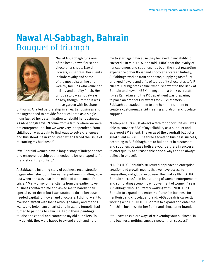### **Nawal Al-Sabbagh, Bahrain** Bouquet of triumph



Nawal Al-Sabbagh runs one of the best-known florist and chocolatier shops, Nawal Flowers, in Bahrain. Her clients include royalty and some of the most discerning and wealthy families who value her artistry and quality finish. Her unique story was not always so rosy though –rather, it was a rose garden with its share

of thorns. A failed partnership in an earlier business and the urgent need to provide for her children as a single mum fuelled her determination to rebuild her business. As Al-Sabbagh says, "I come from a family where we were not entrepreneurial but we were very independent. From childhood I was taught to find ways to solve challenges and this stood me in good stead when I faced the issue of re-starting my business."

"We Bahraini women have a long history of independence and entrepreneurship but it needed to be re-shaped to fit the 21st century context."

Al-Sabbagh's inspiring story of business reconstruction began when she found her earlier partnership falling apart just when she was also in the midst of a personal life crisis. "Many of myformer clients from the earlier flower business contacted me and asked me to handle their special event décor but I was unable to do so because I needed capital for flower and chocolate. I did not want to overload myself with loans although family and friends wanted to help. I am an artist and in all the turmoil I had turned to painting to calm me. I sold these paintings to raise the capital and contacted my old suppliers. To my delight, they were happy to extend credit and help

me to start again because they believed in my ability to succeed." In mid-2016, she told UNIDO that the loyalty of her customers and suppliers has been the most rewarding experience of her florist and chocolatier career. Initially, Al-Sabbagh worked from her home, supplying tastefully arranged flowers and gifts of top-quality chocolates to VIP clients. Her big break came when she went to the Bank of Bahrain and Kuwait (BBK) to negotiate a bank overdraft. It was Ramadan and the PR department was preparing to place an order of Eid sweets for VIP customers. Al-Sabbagh persuaded them to use her artistic talent to create a custom-made Eid greeting and also her chocolate supplies.

"Entrepreneurs must always watch for opportunities. I was able to convince BBK of my reliability as a supplier and as a good SME client. I never used the overdraft but got a great client in BBK!" The three secrets to business success, according to Al-Sabbagh, are to build trust in customers and suppliers because both are your partners in success; to offer quality at a reasonable price always and to always believe in oneself.

"UNIDO ITPO Bahrain's structured approach to enterprise creation and growth means that we have access to counselling and global exposure. This makes UNIDO ITPO Bahrain successful in its nurturing of women entrepreneurs and stimulating economic empowerment of women," says Al-Sabbagh who is currently working with UNIDO ITPO Bahrain to expand and enter the franchise business for her florist and chocolatier brand. Al-Sabbagh is currently working with UNIDO ITPO Bahrain to expand and enter the franchise business for her florist and chocolatier brand.

"You have to explore ways of reinventing your business. In this business, nothing smells sweeter than success!"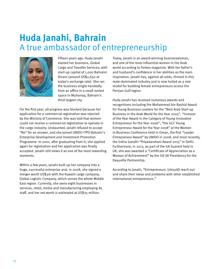#### **Huda Janahi, Bahrain** A true ambassador of entrepreneurship



Fifteen years ago, Huda Janahi started her business, Global Cargo and Traveller Services, with start-up capital of 1,000 Bahraini Dinars (around US\$2,650 at today's exchange rate). She ran the business single-handedly from an office in a small rented space in Muharraq, Bahrain's third largest city.

For the first year, all progress was blocked because her application for a commercial registration was rejected by the Ministry of Commerce. She was told that women could not receive a commercial registration to operate in the cargo industry. Undaunted, Janahi refused to accept "No" for an answer, and she joined UNIDO ITPO Bahrain's Enterprise Development and Investment Promotion Programme. In 2001, after graduating from it, she applied again for registration and her application was finally accepted. Janahi still views it as one of the most rewarding moments.

Within a few years, Janahi built up her company into a huge, successful enterprise and, in 2008, she signed a merger worth US\$3m with the Kuwaiti cargo company, Global Logistic Company, which serves the whole Middle East region. Currently, she owns eight businesses in services, retail, media and manufacturing employing 85 staff, and her net worth is estimated at US\$25 million.

Today, Janahi is an award-winning businesswoman, and one of the most influential women in the Arab world according to Forbes magazine. With her father's and husband's confidence in her abilities as the main inspiration, Janahi has, against all odds, thrived in this male-dominated industry and is now hailed as a role model for budding female entrepreneurs across the Persian Gulf region.

Huda Janahi has received numerous awards and recognitions including the Mohammad bin Rashid Award for Young Business Leaders for the "Best Arab Start-up Business in the Arab World for the Year 2005", "Investor of the Year Award in the Category of Young Innovative Entrepreneur for the Year 2006", "the GCC Young Entrepreneur Award for the Year 2008" at the Women in Business Conference held in Oman, the first "Leader Entrepreneur Award" by UNIDO in 2008, and most recently, the Indira Gandhi "Priyadarshani Award 2015" in Delhi. Furthermore, in 2013, as part of the G8 Summit held in UK, she was awarded a "Certificate of Appreciation as a Woman of Achievement" by the G8 UK Presidency for the Deauville Partnership.

According to Janahi, "Entrepreneurs (should) reach out and share their ideas and problems with other established international entrepreneurs."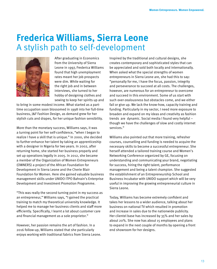#### **Frederica Williams, Sierra Leone** A stylish path to self-development



After graduating in Economics from the University of Sierra Leone in 1997, Frederica Williams found that high unemployment rates meant her job prospects were dim. While waiting for the right job and in between interviews, she turned to her hobby of designing clothes and sewing to keep her spirits up and

to bring in some modest income. What started as a parttime occupation soon blossomed in 1998 into her full-time business, J&F Fashion Design, as demand grew for her stylish cuts and drapes, for her unique fashion sensibility.

More than the monetary success, Williams says, it was a turning point for her self-confidence, "when I began to realize I have a skill that is unique." In 2000, she decided to further enhance her talent by taking an apprenticeship with a designer in Nigeria for two years. In 2002, after returning home, she started her business properly and set up operations legally in 2005. In 2012, she became a member of the Organization of Women Entrepreneurs (OWNERS) a project of the African Foundation for Development in Sierra Leone and the Cherie Blair Foundation for Women. Here she gained valuable business management skills under UNIDO ITPO Bahrain's Enterprise Development and Investment Promotion Programme.

"This was really the second turning point in my success as an entrepreneur," Williams says, "I gained the practical training to match my theoretical university knowledge. It helped me to manage her business clients and staff more efficiently. Specifically, I learnt a lot about customer care and financial management as a sole proprietor."

However, her passion remains the art of fashion. In a 2016 follow-up, Williams stated that she particularly enjoys working with traditional fabrics from Sierra Leone.

Inspired by the traditional and cultural designs, she creates contemporary and sophisticated styles that can be appreciated and sold both locally and internationally. When asked what the special strengths of women entrepreneurs in Sierra Leone are, she had this to say: "personally for me, I have the focus, passion, integrity and perseverance to succeed at all costs. The challenges, however, are numerous for an entrepreneur to overcome and succeed in this environment. Some of us start with such over-zealousness but obstacles come, and we either fail or give up. We lack the know-how, capacity training and funding. Particularly in my sector, I need more exposure to broaden and expand on my ideas and creativity as fashion trends are dynamic. Social media I found very helpful – though we have the challenges of slow and costly internet services."

Williams also pointed out that more training, refresher courses, counselling and funding is needed to acquire the necessary skills to become a successful entrepreneur. She herself attended a tailored training course and Women's Networking Conference organized by GE, focusing on understanding and communicating your brand, negotiating for success, hiring the right talent, performance management and being a talent champion. She suggested the establishment of an Entrepreneurship School and Business Incubator with UNIDO support which will be very useful in improving the growing entrepreneurial culture in Sierra Leone.

Today, Williams has become extremely confident and takes her lessons to a wider audience, talking about her business on national TV which resulted in promotion and increase in sales due to the nationwide publicity. Her clientel base has increased by 35% and her sales by about 20%. She now has about 15 employees and plans to expand in the next couple of months by opening a front end showroom for her designs.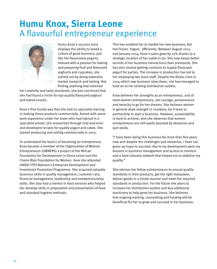### **Humu Knox, Sierra Leone** A flavourful entrepreneur experience



Humu Knox's success story displays the ability to breed a culture of good business, just like her flavorsome yogurts. Imbued with a passion for baking and preparing fruit and flavoured yoghurts and cupcakes, she started out by doing extensive market research and tasting. Not finding anything that matched

her creativity and taste standards, she was convinced that she had found a niche for top-quality flavoured yoghurt and baked snacks.

Knox's first hurdle was that she had no specialist training in making these products commercially. Armed with some work experience under her sister who had trained in a specialist school, she researched through trial-and-error and developed recipes for quality yogurt and cakes. She started producing and selling commercially in 2010.

To understand the basics of becoming an entrepreneur, Knox became a member of the Organization of Women Entrepreneurs (OWNERS) a project of the African Foundation for Development in Sierra Leone and the Cherie Blair Foundation for Women. Here she attended UNIDO ITPO Bahrain's Enterprise Development and Investment Promotion Programme. She acquired valuable business skills in quality management, customer care, financial management, leadership and entrepreneurship skills. She also had a mentor in food services who helped her develop skills in preparation and presentation of food and standard hygiene methods.

This has enabled her to market her new business, Kol Hat Frozen Yogurt, efficiently. Between August 2013 and January 2014, Knox's sales grew by 15% thanks to a strategic location of her outlet in Jui. She now keeps better records of her business transactions than previously. She has also started getting contracts to supply flavoured yogurt for parties. The increase in production has led to her employing two more staff. Despite the Ebola crisis in 2014 which saw business slow down, she has managed to hold on to her existing distribution outlets.

Knox believes her strengths as an entrepreneur, and of most women entrepreneurs, are courage, perseverance and tenacity to go for her dreams. She believes women in general draw strength in numbers, be it team or partnership to start a business. However, sustainability is hard to achieve, and she observes that women entrepreneurs are still easily daunted by obstacles and quit easily.

"I have been doing this business for more than five years now and despite the challenges and obstacles, I have not given up hope to succeed. Key to my development were my lessons in business management and access to mentors and a food industry network that helped me to stabilize my quality."

She advises her fellow entrepreneurs to ensure quality standards in their products, get the right manpower, deliver goods in a timely manner and meet the required standards in production. For the future she plans to increase her distribution outlets and buy additional machinery to help grow her business. She believes that ongoing training, counselling and funding will be beneficial for her to grow and succeed in her business.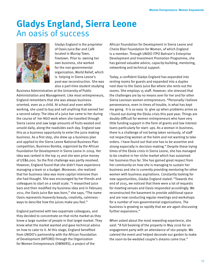### **Gladys England, Sierra Leone** An oasis of success



Gladys England is the proprietor of Oasis Juice Bar and Café located in Murray Town, Freetown. Prior to owning her own business, she worked for the non-governmental organization, World Relief, which is helping in Sierra Leone's post-war reconstruction. She was also a part-time student studying

Business Administration at the University of Public Administration and Management. Like most entrepreneurs, England remembers that she was always businessoriented, even as a child. At school and even while working, she used to buy and sell anything that earned her a second salary. The idea of a juice bar came to her during the course of her NGO work when she travelled through Sierra Leone and saw large amounts of fruits wasted and unsold daily, along the roadsides each day. England saw this as a business opportunity to enter the juice making business. As a first step, she drew up a business plan and applied to the Sierra Leone National Business Plan competition, Business Bomba, organized by the African Foundation for Development in Sierra Leone in 2009. Her idea was ranked in the top 25 and she won prize money of US\$6,000. So the first challenge was partly resolved. However, England found that she didn't have experience managing a team or a budget. Moreover, she realized that her business idea was more capital-intensive than she had thought. She was encouraged by her friends and colleagues to start on a small scale. "I researched juice bars and then modified my business idea and in February 2011, the Oasis Juice Bar was born," she says, "The name Oasis represents heavenly beauty, creativity, calmness ways to describe how the juices make you feel."

England partnered with two expatriate colleagues, and they decided to concentrate on that niche market as they knew a large number of people in that target market. They knew what the market wanted and gave technical advice on how to cater to it. At this stage, England benefited from UNIDO's partnership with the African Foundation of Development (AFFORD) through the Organization for Women Entrepreneurs (OWNERS), a project of the

African Foundation for Development in Sierra Leone and Cherie Blair Foundation for Women, of which England is a member. Through UNIDO ITPO Bahrain's Enterprise Development and Investment Promotion Programme, she has gained valuable advice, capacity-building, mentoring, networking and technical support.

Today, a confident Gladys England has expanded into renting rooms for guests and expanded into a duplex next door to the Oasis Juice Bar where she rents out the rooms. She employs 15 staff. However, she stressed that the challenges are by no means over for her and for other Sierra Leonean women entrepreneurs. "Personally I believe perseverance, even in times of trouble, is what has kept me going. It is so easy to give up when problems arrive as I found out during the Ebola crisis this past year. Things are doubly difficult for women entrepreneurs who have very little funding support in the form of grants and low interest loans particularly for start- ups. As a woman in business, there is a challenge of not being taken seriously, of staff not respecting women at the helm and not wanting to take orders. I have found out that one has to be assertive and strong especially in decision-making." Despite these trying times of the Ebola crisis in Sierra Leone, she has managed to be creative in her niche market which has sustained her business thus far. She has gained great respect from her community on how she is managing to sustain her business and she is currently providing mentoring for other women with business aspirations. Constantly looking for new opportunities, Gladys England stated: "Towards the end of 2015, we noticed that there were a lot of requests for meeting venues and Oasis responded accordingly. We reconstructed the basement to provide additional space and are now conducting regular meetings and workshops for a number of non-governmental organizations. The business is growing so rapidly that we are again discussing further expansions."

When asked about the most rewarding experience, she said: "A full booking of the property in May 2016 for an engagement party with an attendance of 160 people. We catered the event and helped decorate our garden to make the soon-to-be-wedded couple's dreams come true."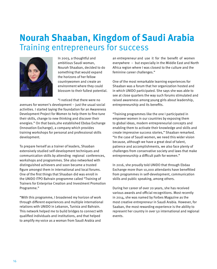#### **Nourah Shaaban, Kingdom of Saudi Arabia** Training entrepreneurs for success



In 2003, a thoughtful and ambitious Saudi woman, Nourah Shaaban, decided to do something that would expand the horizons of her fellow countrywomen and create an environment where they could blossom to their fullest potential.

"I noticed that there were no

avenues for women's development – just the usual social activities. I started laying the foundation for an Awareness Development Project for Women to help them to fine-tune their skills, change to new thinking and discover their energies." On that basis,she established Ebdaa Exchange (Innovation Exchange), a company which provides training workshops for personal and professional skills development.

To prepare herself as a trainer of leaders, Shaaban extensively studied self-development techniques and communication skills by attending regional conferences, workshops and programmes. She also networked with distinguished achievers and soon became a trusted figure amongst them in international and local forums. One of the first things that Shaaban did was enroll in the UNIDO ITPO Bahrain programme called "Training of Trainers for Enterprise Creation and Investment Promotion Programme."

"With this programme, I broadened my horizon of work through different experiences and multiple international relations with UNIDO in Lebanon, Tunisia and Bahrain. This network helped me to build bridges to connect with qualified individuals and institutions, and that helped to amplify my voice as a woman from Saudi Arabia and

an entrepreneur and use it for the benefit of women everywhere – but especially in the Middle East and North Africa region where I was closest to the culture and the feminine career challenges."

One of the most remarkable learning experiences for Shaaban was a forum that her organization hosted and in which UNIDO participated. She says she was able to see at close quarters the way such forums stimulated and raised awareness among young girls about leadership, entrepreneurship and its benefits.

"Training programmes like the one I participated in empower women in our countries by exposing them to global ideas, modern entrepreneurial concepts and enabling them to activate their knowledge and skills and create impressive success stories," Shaaban remarked. "In the case of Saudi women, we need this wider vision because, although we have a great deal of talent, patience and accomplishments, we also face plenty of challenges from conservative society and laws that make entrepreneurship a difficult path for women."

In 2016, she proudly told UNIDO that through Ebdaa Exchange more than 10,000 attendants have benefitted from programmes in self-development, communication skills and public speaking, among others.

During her career of over 20 years, she has received various awards and official recognitions. Most recently in 2014, she was named by Forbes Magazine as the most creative entrepreneur in Saudi Arabia. However, for Saaban, the most rewarding experience is the ability to represent her country in over 50 international and regional events.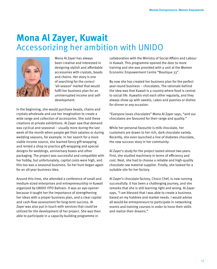#### **Mona Al Zayer, Kuwait** Accessorizing her ambition with UNIDO



Mona Al Zayer has always been creative and interested in designing stylish and affordable accessories with crystals, beads and chains. Her story is one of searching for the correct 'all-season' market that would fulfil her business plan for an uninterrupted income and selfdevelopment.

In the beginning, she would purchase beads, chains and crystals wholesale and use her imagination to create a wide range and collection of accessories. She sold these creations at private exhibitions. Al Zayer saw that demand was cyclical and seasonal – usually more during the last week of the month when people get their salaries or during wedding seasons, for example. In her search for a more viable income source, she learned fancy gift-wrapping and rented a shop to practice gift-wrapping and special designs for weddings, anniversary boxes and other packaging. The project was successful and compatible with her hobby, but unfortunately, capital costs were high, and this too was a seasonal business. So her hunt began again for an all-year business idea.

Around this time, she attended a conference of small and medium-sized enterprises and entrepreneurship in Kuwait organized by UNIDO ITPO Bahrain. It was an eye-opener because it taught her the importance of strengthening her ideas with a proper business plan, and a clear capital and cash-flow assessment for long-term success. Al Zayer was also put in touch with services that could be utilized for the development of her project. She was then able to participate in a capacity-building programme in

collaboration with the Ministry of Social Affairs and Labour in Kuwait. This programme opened the door to more training and she was provided with a unit at the Women Economic Empowerment Centre "Boutique 33".

By now she has created her business plan for the perfect year-round business – chocolates. The rationale behind the idea was that Kuwait is a country where food is central to social life. Kuwaitis visit each other regularly, and they always show up with sweets, cakes and pastries or dishes for dinner or any occasion.

"Everyone loves chocolates" Mona Al Zayer says, "and our chocolates are favoured for their range and quality."

While her personal favourite is milk chocolate, her customers are drawn to her rich, dark chocolate variety. Recently, she even launched a line of diabetes chocolate, the new success story in her community.

Al Zayer's study for the project lasted almost two years. First, she studied machinery in terms of efficiency and cost. Next, she had to choose a reliable and high-quality chocolate raw material supplier. Finally, she looked for a suitable site for her factory.

Al Zayer's chocolate factory, Choco Chef, is now running successfully. It has been a challenging journey, and she remarks that she is still learning right and wrong. Al Zayer says, "I am blessed that I was able to create a business based on my hobbies and market needs. I would advise all would-be entrepreneurs to participate in networking events and training courses in order to hone their skills and realize their dreams."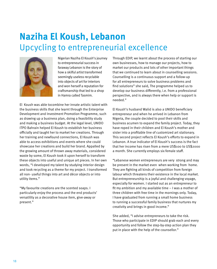### **Naziha El Koush, Lebanon** Upcycling to entrepreneurial excellence



Nigerian Naziha El Koush's journey to entrepreneurial success in faraway Lebanon is the story of how a skilful artist transformed seemingly useless recyclable into objects of art for interiors and won herself a reputation for craftsmanship that led to a shop in Hamra called Tasmim.

El Koush was able tocombine her innate artistic talent with the business skills that she learnt through the Enterprise Development and Investment Promotion Programme, such as drawing up a business plan, doing a feasibility study and making a business budget. At the legal level, UNIDO ITPO Bahrain helped El Koush to establish her business officially and taught her to market her creations. Through her training and newfound connections, El Koush was able to access exhibitions and events where she could showcase her creations and build her brand. Appalled by the growing amount of thrown away materials, considered waste by some, El Koush took it upon herself to transform these objects into useful and unique art pieces. In her own words, "I developed my talent by studying interior design and took recycling as a theme for my project. I transformed all non- useful things into art and décor objects or into utility items."

"My favourite creations are the scented soaps. I particularly enjoy the process and the end products' versatility as a decorative house item, give-away or present."

Through EDIP, we learnt about the process of starting our own businesses, how to manage our projects, how to market our products and lots of other important things that we continued to learn about in counselling sessions. Counselling is a continuous support and a follow-up for all entrepreneurs to solve business problems and find solutions" she said, The programme helped us to develop our business differently, i.e. from a professional perspective, and is always there when help or support is needed."

El Koush's husband Walid is also a UNIDO beneficiary entrepreneur and when he arrived in Lebanon from Nigeria, the couple decided to pool their skills and business acumen to expand the family project. Today, they have roped in their children and El Koush's mother and sister into a profitable line of customized art stationary. This second project reflects El Koush's efforts to expand in Lebanon. A true indicator of El Koush's success is the fact that her income has risen from a mere US\$100 to US\$2000 a month. She currently employs six female staff.

"Lebanese women entrepreneurs are very strong and may be present in the market even when working from home. They are fighting all kinds of competition from foreign labour which threatens their existence in the local market. But entrepreneurship is a joyful and challenging voyage, especially for women. I started out as an entrepreneur to fit my ambition and my available time – I was a mother of three children with free time in the mornings only. Today, I have graduated from running a small home business to running a successful family business that nurtures my creativity and brings in good income."

She added, "I advise entrepreneurs to take the risk. Those who participate in EDIP should grab each and every opportunity and follow the step-by-step action plan they put in place with the help of the counsellor."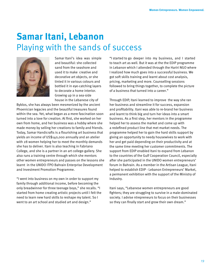### **Samar Itani, Lebanon** Playing with the sands of success



Samar Itani's idea was simple and beautiful: she collected sand from the seashore and used it to make creative and decorative art objects, or she tinted it in various colours and bottled it in eye-catching layers to decorate a home interior. Growing up in a sea-side house in the Lebanese city of

Byblos, she has always been mesmerized by the ancient Phoenician legacies and the beautiful treasures found within the sea. Yet, what began as a mere fascination soon turned into a love for creation. At first, she worked on her own from home, and her business was a hobby where she made money by selling her creations to family and friends. Today, Samar Handicrafts is a flourishing art business that yields an income of US\$140,000 annually and an atelier with 28 women helping her to meet the monthly demands she has to deliver. Itani is also teaching in Fabriano College, and she is a partner in an art college-gallery. She also runs a training centre through which she mentors other women entrepreneurs and passes on the lessons she learnt in the UNIDO ITPO Bahrain Enterprise Development and Investment Promotion Programme.

"I went into business on my own in order to support my family through additional income, before becoming the only breadwinner for three teenage boys," she recalls. "I started from home creating artistic projects until I felt the need to learn new hard skills to reshape my talent. So I went to an art school and studied art and design."

"I started to go deeper into my business, and I started to teach art as well. But it was at the the EDIP programme in Lebanon which I attended through the Hariri NGO where I realized how much goes into a successful business. We got soft skills training and learnt about cost analysis, pricing, marketing and more. Counselling sessions followed to bring things together, to complete the picture of a business that turned into a career."

Through EDIP, Itani learned to improve the way she ran her business and streamline it for success, expansion and profitability. Itani was able to re-brand her business and learnt to think big and turn her ideas into a smart business. As a first step, her mentors in the programme helped her to assess the market and come up with a redefined product line that met market needs. The programme helped her to gain the hard skills support by giving an opportunity to needy housewives to work with her and get paid depending on their productivity and at the same time meeting her customer commitments. The support from EDIP enabled Itani to expand from Lebanon to the countries of the Gulf Cooperation Council, especially after she participated in the UNIDO women entrepreneurs' forum in Bahrain. As a member in the Artisan League, Itani helped to establish EDIP - Lebanon Entrepreneurs' Market, a permanent exhibition with the support of the Ministry of Industry.

Itani says, "Lebanese women entrepreneurs are good fighters; they are struggling to survive in a male-dominated society. I advise ntrepreneurs to focus on their businesses so they can finally start and grow their own dream."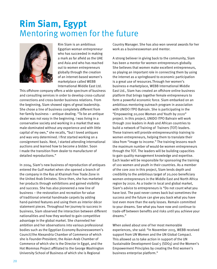### **Rim Siam, Egypt** Mentoring women for the future



Rim Siam is an ambitious Egyptian woman entrepreneur who has succeeded in making a mark as far afield as the UAE and Asia and who has reached out to women entrepreneurs globally through the creation of an internet-based women's marketplace called WEBB International Middle East Ltd.

This offshore company offers a wide spectrum of business and consulting services in order to develop cross-cultural connections and cross-border business relations. From the beginning, Siam showed signs of great leadership. She chose a line of business completely different from her family business – antique dealing. "To be an antique dealer was not easy in the beginning. I was living in a conservative society and working in a market that was male-dominated without any experience and with little capital of my own," she recalls, "but I loved antiques and was very determined. I first started working on a consignment basis. Next, I started attending international auctions and learned how to become a bidder. Soon I made the transition from dealer to manufacturer of detailed reproductions."

In 2004, Siam's new business of reproduction of antiques entered the Gulf market when she opened a branch of the company in the Ras al Khaimah Free Trade Zone in the United Arab Emirates. Since then, she has marketed her products through exhibitions and gained visibility and success. She has also pioneered a new line of business – the restoration and recreation for value of traditional oriental handmade carpets by adding hand-painted features and using them as interior décor statement pieces. Throughout her journey to success in business, Siam observed the interaction between different nationalities and how they worked to gain competitive advantage in the global market. She channeled her ambition and her observations into various professional bodies such as the Egyptian Economy Businesswomen's Council/the Alexandria Chamber of Commerce of which she is Founder-President; the Asian-Arab Chamber of Commerce of which she is the Director in Egypt, and the Hot Mommas Project affiliated to the George Washington University School of Business of which she is Regional

Country Manager. She has also won several awards for her work as a businesswoman and mentor.

A strong believer in giving back to the community, Siam has been a mentor for women entrepreneurs globally. She believes that women make excellent entrepreneurs, so playing an important role in connecting them by using the internet as a springboard to economic participation is a great use of resources.Through her women's business e-marketplace, WEBB International Middle East Ltd., Siam has created an offshore online business platform that brings together female entrepreneurs to form a powerful economic force. Siam embarked on an ambitious mentoring outreach program in association with UNIDO ITPO Bahrain. She is participating in the "Empowering 20,000 Women and Youth by 2020" project. In this project, UNIDO ITPO Bahrain will work through 200 leaders in Arab and African countries to build a network of Training of Trainers (TOT) leaders. These trainers will provide entrepreneurship training to women entrepreneurs, helping them to translate their idea from "image to income." The training lessons reach the maximum number of would-be women entrepreneurs through the TOT. The leaders will be building capacities to gain quality management knowledge and expertise. Each leader will be responsible for sponsoring the training of 100 women and youth in their countries. As a member of the core 200 in this project, Siam lends depth and credibility to the ambitious target of 20,000 beneficiary women entrepreneurs in the Middle East and North Africa region by 2020. As a trader in local and global market, Siam's advice to entrepreneurs is "Do not count what you have lost. The past never comes back but sometimes the success and the future can give you back what you have lost even more than the early losses. Remain committed to your dreams. See what you have now and continue to trade-off between benefits and risks until you achieve your dreams."

When asked about one of her most memorable experiences, she said: "In November 2015, WEBB received support from UN Women and the UN Global Compact. This allowed us to take action in support of the UN Sustainable Development Goal 5 (SDG5) and the Women's Empowerment Principles by creating the first women's business enterprise platform."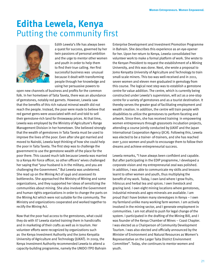### **Editha Lewela, Kenya** Putting the community first



Edith Lewela's life has always been a quest for success, governed by her twin passions of personal ambition and the urge to mentor other women and youth in order to help them to find their true calling. Her first successful business was unusual because it dealt with transforming people through her knowledge and using her persuasive powers to

open new channels of business and profits for the common folk. In her hometown of Taita Taveta, there was an abundance of gemstones, notably red garnets. However, Lewela saw that the benefits of this rich natural mineral wealth did not reach the people. Instead, the poor were made to believe that red garnet gems were associated with evil and told to sell their gemstone-rich land for throwaway prices. At that time, Lewela was employed by the Ministry of Agriculture's Range Management Division in her hometown. She believed strongly that the wealth of gemstones in Taita Taveta must be used to improve the lives of the poor. Even after she got married and moved to Nairobi, Lewela kept thinking of how she could help the poor in Taita Taveta. The first step was to challenge the government to use the gemstone wealth of the place for the poor there. This caused much talk because Lewela was married to a Kenya Air Force officer, so other officers' wives challenged her saying that "your husband is in the military, and you are challenging the Government." But Lewela was undeterred. She read up on the Mining Act of 1946 and assessed its bottlenecks. She approached the Ministry of Mining and some organizations, and they supported her ideas of sensitizing the communities about mining. She also involved the Government and human rights organizations in order to change the parts on the Mining Act which were not suitable for the community. The Ministry and organizations cooperated and worked together to rectify the Mining Act.

Now that the poor had access to the gemstones, what could they do with it? Lewela started training them in handicrafts and in marketing of their crafts as well as in tourism. Her volunteer efforts were recognized by organizations such as the Kenya Investment Authority and the Jomo Kenyatta University of Agriculture and Technology (JUKAT). In 2009, the Kenya Investment Authority recommended Lewela to attend a capacity-building programme, namely the UNIDO ITPO Bahrain

Enterprise Development and Investment Promotion Programme in Bahrain. She describes this experience as an eye-opener for her. Upon her return to Kenya, Lewela consolidated her volunteer work to make a formal platform of work. She wrote to the Kenyan President to request the establishment of a Mining University, and this was done. Next, she wrote a proposal to Jomo Kenyatta University of Agriculture and Technology to train small-scale miners. This too was well-received and in 2011, seven women and eleven men graduated in gemology from this course. The logical next step was to establish a gemstone centre for value addition. The centre, which is currently being constructed under Lewela's supervision, will act as a one-stop centre for a variety of gemstones and as a tourist destination. It thereby serves the greater goal of facilitating employment and wealth creation. In addition, the centre will train people with disabilities to utilize the gemstones to perform faceting and artwork. Since then, she has received training in empowering women entrepreneurs through grassroots incubation projects, attending a course jointly conducted by JUKAT and the Japan International Cooperation Agency (JICA). Following this, Lewela was elected to be a trainer- of-trainers, and she has reached over 3,000 women and youth to encourage them to follow their dreams and achieve entrepreneurial success.

Lewela remarks, "I have always been confident and capable. But after participating in the EDIP programme, I developed a corporate vision and my entrepreneurial zeal was polished. In addition, I was able to communicate my skills and lessons learnt to other women and youth, thus multiplying the benefit of my work. Today, I own land where I grow fruits, hibiscus and herbal tea and spices. I own livestock and grazing land. I own eight mining locations where gemstones, industrial minerals and agro-minerals are available. I am proud that I have broken many stereotypes in Kenya – I own my farmland unlike many working farm women. I am actively involved in the mining sector, and I generate employment in communities. I am not afraid to push for legal change of the system. I participated in the drafting of the Mining Bill, and I was founder of the Kenya Chamber of Mines – Coast Chapter. I was elected as a Chairperson of Community Development Tourism. I was also elected and officially announced by the Minister of Environment and Natural Resources as Women's Representative on the Larger Taita District Environment Committee". Today, she continues to mentor women and youth.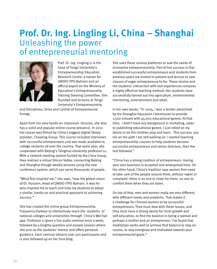#### **Prof. Dr. Ing. Lingling Li, China – Shanghai** Unleashing the power of entrepreneurial mentoring



Prof. Dr. Ing. Lingling Li is the head of Tongji University's Entrepreneurship Education Research Centre, a trainer for UNIDO ITPO Bahrain and an official expert on the Ministry of Education's Entrepreneurship Training Steering Committee. She founded and lectures at Tongji University's Entrepreneurship

and Disciplines, Drive and Control of Entrepreneurial Energy.

Apart from her very hands-on classroom lectures, she also has a solid and popular online course presence. In 2012 her course was filmed by China's biggest digital library provider, Chaoxing Group. This course included interviews with successful entrepreneurs and was made available to college students all over the country. That same year, she cooperated with Beijing's Tsinghua University professor Lu. With a network meeting system funded by the Cisco Group, they realized a virtual Silicon Valley, connecting Beijing and Shanghai though weekly lectures using the new conference system, which can serve thousands of people.

"What first inspired me," she says, "was the global vision of Dr. Hussein, Head of UNIDO ITPO Bahrain. It was he who inspired me to teach and help my students to adopt a similar, hands-on and practical approach to achieving success."

She has created the online group Entrepreneurship Frequency Harbour to interactively reach the students of national colleges and universities through China's WeChat app. Professor Li gives a live audio seminar once a week, followed by a lengthy question and answer session where she acts as the students' mentor and offers personal guidance. Each seminar attracts over 500 participants and is also followed up on her Sina blog.

She uses these various platforms to sow the seeds of innovative entrepreneurship. Part of her success is that established successful entrepreneurs and students from previous years are invited to present and lecture to new classes of eager entrepreneurs-to-be. These stories and the students' interaction with real experiences compose a highly effective teaching method. Her students have successfully fanned out into agriculture, environmental monitoring, entertainment and retail.

In her own words: "In 2005, I won a tender advertised by the Shanghai Education Commission to provide 1,500 schools with 45,000 educational games. At that time, I didn't have any background in marketing, sales or publishing educational games. I just relied on my desire to let the children play and learn. This success put me on the path I am still walking on: I started teaching entrepreneurship courses to help students become successful entrepreneurs and senior directors, then the rest followed."

"China has a strong tradition of entrepreneurs. Having your own business is accepted and widespread here. On the other hand, China's tradition says women first need to take care of the people around them, without regret or complaint: there is no one to cheer for them, no one to comfort them when they are down.

On top of that, men and women really are very different, with different needs and problems. That makes it a challenge for Chinese women to be successful entrepreneurs. They must deal with these issues, and they must have a strong desire for inner growth and self-education, to find the balance in being a woman and perhaps a mother and an entrepreneur. I've found that meditation works well to achieve that balance to stay on course, to stay energized and motivated towards your entrepreneurial goals."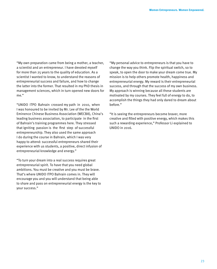"My own preparation came from being a mother, a teacher, a scientist and an entrepreneur. I have devoted myself for more than 25 years to the quality of education. As a scientist I wanted to know, to understand the reasons of entrepreneurial success and failure, and how to change the latter into the former. That resulted in my PhD thesis in management sciences, which in turn opened new doors for me."

"UNIDO ITPO Bahrain crossed my path in 2010, when I was honoured to be invited by Mr. Lee of the the World Eminence Chinese Business Association (WECBA), China's leading business association, to participate in the first of Bahrain's training programmes here. They stressed that igniting passion is the first step of successful entrepreneurship. They also used the same approach I do during the course in Bahrain, which I was very happy to attend: successful entrepreneurs shared their experience with us students, a positive, direct infusion of entrepreneurial knowledge and energy."

"To turn your dream into a real success requires great entrepreneurial spirit. To have that you need global ambitions. You must be creative and you must be brave. That's where UNIDO ITPO Bahrain comes in. They will encourage you and you will understand that being able to share and pass on entrepreneurial energy is the key to your success."

"My personal advice to entrepreneurs is that you have to change the way you think. Flip the spiritual switch, so to speak, to open the door to make your dream come true. My mission is to help others promote health, happiness and entrepreneurial energy. My reward is their entrepreneurial success, and through that the success of my own business. My approach is winning because all these students are motivated by my courses. They feel full of energy to do, to accomplish the things they had only dared to dream about before."

"It is seeing the entrepreneurs become braver, more creative and filled with positive energy, which makes this such a rewarding experience," Professor Li explained to UNIDO in 2016.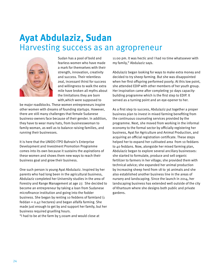#### **Ayat Abdulaziz, Sudan** Harvesting success as an agropreneur



Sudan has a pool of bold and fearless women who have made a mark for themselves with their strength, innovation, creativity and success. Their relentless zeal, incessant thirst for success and willingness to walk the extra mile have broken all myths about the limitations they are born with,which were supposed to

be major roadblocks. These women entrepreneurs inspire other women with dreams of founding startups. However, there are still many challenges that female Sudanese business-owners face because of their gender. In addition, they have to wear many hats, from businesswoman to family woman, as well as to balance raising families, and running their businesses.

It is here that the UNIDO ITPO Bahrain's Enterprise Development and Investment Promotion Programme comes into its own because it sustains the aspirations of these women and shows them new ways to reach their business goal and grow their business.

One such person is young Ayat Abdulaziz. Inspired by her parents who had long been in the agricultural business, Abdulaziz completed her University studies in the area of Forestry and Range Management at age 27. She decided to become an entrepreneur by taking a loan from Sudanese microfinance institution and going into the fodder business. She began by renting 10 feddens of farmland (1 feddan = 0.42 hectares) and began alfalfa farming. She made just enough to get by and support her family, but her business required gruelling hours.

"I had to be at the farm by 5:00am and would close at

11:00 pm. It was hectic and I had no time whatsoever with my family," Abdulaziz says.

Abdulaziz began looking for ways to make extra money and decided to try sheep farming. But she was disappointed when her first offspring performed poorly. At this low point, she attended EDIP with other members of her youth group. Her inspiration came after completing 30 days capacitybuilding programme which is the first step to EDIP. It served as a turning point and an eye-opener to her.

As a first step to success, Abdulaziz put together a proper business plan to invest in mixed farming benefiting from the continuous counseling services provided by the programme. Next, she moved from working in the informal economy to the formal sector by officially registering her business, Ayat for Agriculture and Animal Production, and acquiring an official registration certificate. These steps helped her to expand her cultivated area from 10 feddans to 40 feddans. Now, alongside her mixed farming plan, Abdulaziz began to explore several ancillary businesses: she started to formulate, produce and sell organic fertilizer to farmers in her village; she provided them with technical advice; she expanded her animal production by increasing sheep herd from 18 to 36 animals and she also established another business line in the areas of nursery and landscaping. Since the launch in 2014, her landscaping business has extended well outside of the city of Khartoum where she designs both public and private gardens.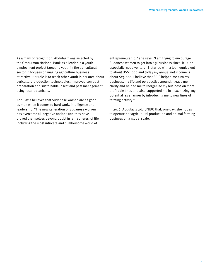As a mark of recognition, Abdulaziz was selected by the Omdurman National Bank as a leader in a youth employment project targeting youth in the agricultural sector. It focuses on making agriculture business attractive. Her role is to teach other youth in her area about agriculture production technologies, improved compost preparation and sustainable insect and pest management using local botanicals.

Abdulaziz believes that Sudanese women are as good as men when it comes to hard work, intelligence and leadership. "The new generation of Sudanese women has overcome all negative notions and they have proved themselves beyond doubt in all spheres of life including the most intricate and cumbersome world of

entrepreneurship," she says, "I am trying to encourage Sudanese women to get into agribusiness since it is an especially good venture. I started with a loan equivalent to about US\$1,000 and today my annual net income is about \$25,000. I believe that EDIP helped me turn my business, my life and perspective around. It gave me clarity and helped me to reorganize my business on more profitable lines and also supported me in maximizing my potential as a farmer by introducing me to new lines of farming activity."

In 2016, Abdulaziz told UNIDO that, one day, she hopes to operate her agricultural production and animal farming business on a global scale.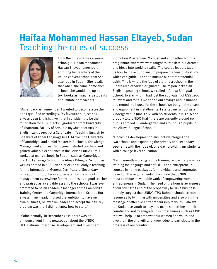#### **Haifaa Mohammed Hassan Eltayeb, Sudan** Teaching the rules of success



From the time she was a young schoolgirl, Haifaa Mohammed Hassan Eltayeb remembers admiring her teachers at the Italian convent school that she attended in Sudan. She recalls that when she came home from school, she would line up her text books as imaginary students and imitate her teachers.

"As far back as I remember, I wanted to become a teacher and I qualified accordingly. My favourite subject has always been English, given that I consider it to be the foundation for all subjects. I graduated from University of Khartoum, Faculty of Arts, did my Master of Arts in English Language, got a Certificate in Teaching English to Speakers of Other Languages(CELTA) from the University of Cambridge, and a mini Master in Business, Knowledge Management and Lean Six Sigma. I started teaching and gained valuable experience in the British Curriculum. I worked at many schools in Sudan, such as Cambridge, the ABC Language School, the Alruya Bilingual School, as well as abroad in KSA-Riyadh at Al Kanar- Alolyia teaching for the International General Certificate of Secondary Education (IGCSE). I was appreciated by the school management everywhere for my abilities as a good teacher and praised as a valuable asset to the schools. I was even promoted to be an academic manager at the Cambridge Training Center and Cambridge International School. But always in my head, I nursed the ambition to have my own business, be my own leader and accept the risk. My problem was that I did not know how to start."

"Coincidentally, in December 2011, there was an announcement in the newspaper about the UNIDO ITPO Bahrain Enterprise Development and Investment

Promotion Programme. My husband and I attended this programme where we were taught to translate our dreams and ideas into working reality. The course leaders taught us how to make our plans, to prepare the feasibility study which can guide us and to nurture our entrepreneurial spirit. This is where the idea of starting a school in the Jubara area of Sudan originated. The region lacked an English-speaking school. We called it Alruya Bilingual School. To start with, I had just the equivalent of US\$1,100 to invest and to this we added our savings and insurance and rented the house for the school. We bought the assets and equipment in installments. I started my school as a kindergarten in June 2014 with 60 students. " In 2016 she proudly told UNIDO that "there are currently around 60 pupils enrolled in kindergarten and around 150 pupils in the Alruya Bilingual School."

"Upcoming development plans include merging the two schools and expanding the primary and secondary segments with the hope of, one day, providing my students with a college-level education."

"I am currently working on the training centre that provides training for language and soft skills and entrepreneur courses in home packages for individuals and corporates, based on the requirements. I conclude that UNIDO must continue its valuable work of empowering women entrepreneurs in Sudan. The need of the hour is awareness of our strengths and of the proper way to run a business. I humbly suggest that UNIDO ITPO Bahrain should stretch its resources by twinning with universities and also bring the message of effective entrepreneurship to youth. I always tell Sudanese youth to stay and make something in their country and not to emigrate. It is programmes such as EDIP that will help us to empower our women and youth and give them the strength and knowledge to participate in the progress of our country."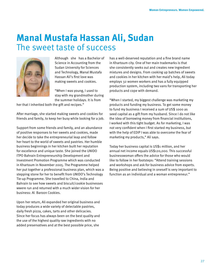#### **Manal Mustafa Hassan Ali, Sudan** The sweet taste of success



Although she has a Bachelor of Science in Accounting from the Sudan University for Sciences and Technology, Manal Mustafa Hassan Ali's first love was making sweets and cookies.

"When I was young, I used to stay with my grandmother during the summer holidays. It is from

her that I inherited both the gift and recipes."

After marriage, she started making sweets and cookies for friends and family, to keep her busy while looking for a job.

Support from some friends and family, and an abundance of positive responses to her sweets and cookies, made her decide to take the entrepreneurial leap and follow her heart to the world of sweets and pastries. Her humble business beginnings in her kitchen built her reputation for excellence and unique taste. She joined the UNIDO ITPO Bahrain Entrepreneurship Development and Investment Promotion Programme which was conducted in Khartoum in November 2005. The Programme helped her put together a professional business plan, which was a stepping stone for her to benefit from UNIDO's Technology Tie-up Programme. She travelled to China, India and Bahrain to see how sweets and biscuit/cookie businesses wwere run and returned with a much wider vision for her business: Al Baroon Cookies.

Upon her return, Ali expanded her original business and today produces a wide variety of delectable pastries, daily fresh pizza, cakes, tarts and other delicacies. Since her focus has always been on the best quality and the use of the highest quality raw ingredients with no added preservatives and at the best possible price, she

has a well-deserved reputation and a fine brand name in Khartoum city. One of her main trademarks is that she consistently seeks out and creates new ingredient mixtures and designs. From cooking up batches of sweets and cookies in her kitchen with her maid's help, Ali today employs 32 women workers and has a fully equipped production system, including two vans for transporting her products and cope with demand.

"When I started, my biggest challenge was marketing my products and funding my business. To get some money to fund my business I received a sum of US\$ 1000 as seed capital as a gift from my husband. Since I do not like the idea of borrowing money from financial institutions, I worked with this tight budget. As for marketing, I was not very confident when I first started my business, but with the help of EDIP I was able to overcome the fear of marketing my products," Ali says.

Today her business capital is US\$1 million, and her annual net income equals US\$120,000. This successful businesswoman offers the advice for those who would like to follow in her footsteps: "Attend training sessions and workshops and ask for business advice from experts. Being positive and believing in oneself is very important to function as an individual and a woman entrepreneur."